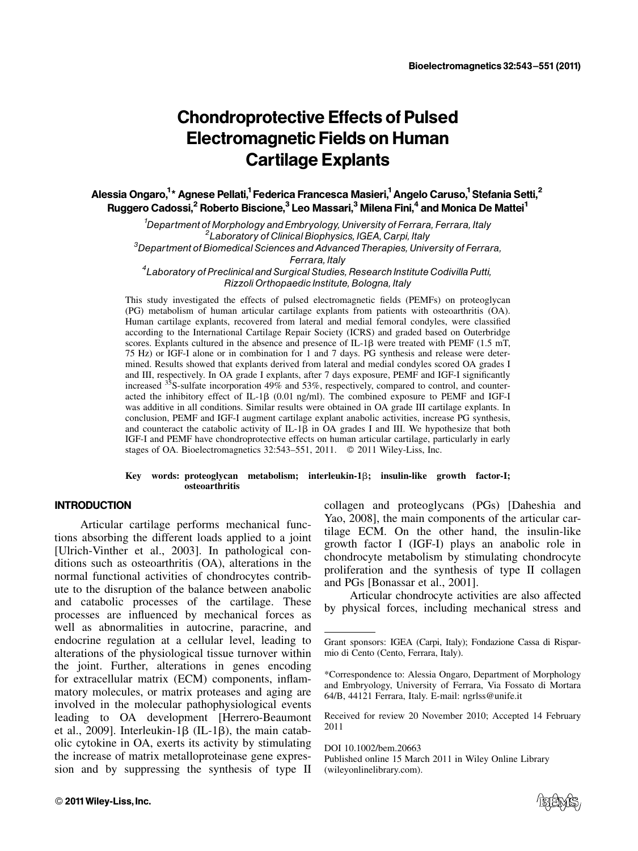# Chondroprotective Effects of Pulsed Electromagnetic Fields on Human Cartilage Explants

Alessia Ongaro,<sup>1</sup>\* Agnese Pellati,<sup>1</sup> Federica Francesca Masieri,<sup>1</sup> Angelo Caruso,<sup>1</sup> Stefania Setti,<sup>2</sup> Ruggero Cadossi,<sup>2</sup> Roberto Biscione,<sup>3</sup> Leo Massari,<sup>3</sup> Milena Fini,<sup>4</sup> and Monica De Mattei<sup>1</sup>

<sup>1</sup> Department of Morphology and Embryology, University of Ferrara, Ferrara, Italy<br><sup>2</sup> Phoretory of Clinical Biophysics, IGEA, Carpi, Italy <sup>2</sup> Laboratory of Clinical Biophysics, IGEA, Carpi, Italy  ${}^{3}$ Department of Biomedical Sciences and Advanced Therapies, University of Ferrara, Ferrara, Italy <sup>4</sup> Laboratory of Preclinical and Surgical Studies, Research Institute Codivilla Putti,

Rizzoli Orthopaedic Institute, Bologna, Italy

This study investigated the effects of pulsed electromagnetic fields (PEMFs) on proteoglycan (PG) metabolism of human articular cartilage explants from patients with osteoarthritis (OA). Human cartilage explants, recovered from lateral and medial femoral condyles, were classified according to the International Cartilage Repair Society (ICRS) and graded based on Outerbridge scores. Explants cultured in the absence and presence of  $IL-1\beta$  were treated with PEMF (1.5 mT, 75 Hz) or IGF-I alone or in combination for 1 and 7 days. PG synthesis and release were determined. Results showed that explants derived from lateral and medial condyles scored OA grades I and III, respectively. In OA grade I explants, after 7 days exposure, PEMF and IGF-I significantly increased  $35S$ -sulfate incorporation 49% and 53%, respectively, compared to control, and counteracted the inhibitory effect of IL-1 $\beta$  (0.01 ng/ml). The combined exposure to PEMF and IGF-I was additive in all conditions. Similar results were obtained in OA grade III cartilage explants. In conclusion, PEMF and IGF-I augment cartilage explant anabolic activities, increase PG synthesis, and counteract the catabolic activity of  $IL-1\beta$  in OA grades I and III. We hypothesize that both IGF-I and PEMF have chondroprotective effects on human articular cartilage, particularly in early stages of OA. Bioelectromagnetics  $32:543-551$ ,  $2011$ .  $\odot$   $2011$  Wiley-Liss, Inc.

#### Key words: proteoglycan metabolism; interleukin-1b; insulin-like growth factor-I; osteoarthritis

## **INTRODUCTION**

Articular cartilage performs mechanical functions absorbing the different loads applied to a joint [Ulrich-Vinther et al., 2003]. In pathological conditions such as osteoarthritis (OA), alterations in the normal functional activities of chondrocytes contribute to the disruption of the balance between anabolic and catabolic processes of the cartilage. These processes are influenced by mechanical forces as well as abnormalities in autocrine, paracrine, and endocrine regulation at a cellular level, leading to alterations of the physiological tissue turnover within the joint. Further, alterations in genes encoding for extracellular matrix (ECM) components, inflammatory molecules, or matrix proteases and aging are involved in the molecular pathophysiological events leading to OA development [Herrero-Beaumont et al., 2009]. Interleukin-1 $\beta$  (IL-1 $\beta$ ), the main catabolic cytokine in OA, exerts its activity by stimulating the increase of matrix metalloproteinase gene expression and by suppressing the synthesis of type II collagen and proteoglycans (PGs) [Daheshia and Yao, 2008], the main components of the articular cartilage ECM. On the other hand, the insulin-like growth factor I (IGF-I) plays an anabolic role in chondrocyte metabolism by stimulating chondrocyte proliferation and the synthesis of type II collagen and PGs [Bonassar et al., 2001].

Articular chondrocyte activities are also affected by physical forces, including mechanical stress and

Received for review 20 November 2010; Accepted 14 February 2011

DOI 10.1002/bem.20663 Published online 15 March 2011 in Wiley Online Library (wileyonlinelibrary.com).



Grant sponsors: IGEA (Carpi, Italy); Fondazione Cassa di Risparmio di Cento (Cento, Ferrara, Italy).

<sup>\*</sup>Correspondence to: Alessia Ongaro, Department of Morphology and Embryology, University of Ferrara, Via Fossato di Mortara 64/B, 44121 Ferrara, Italy. E-mail: ngrlss@unife.it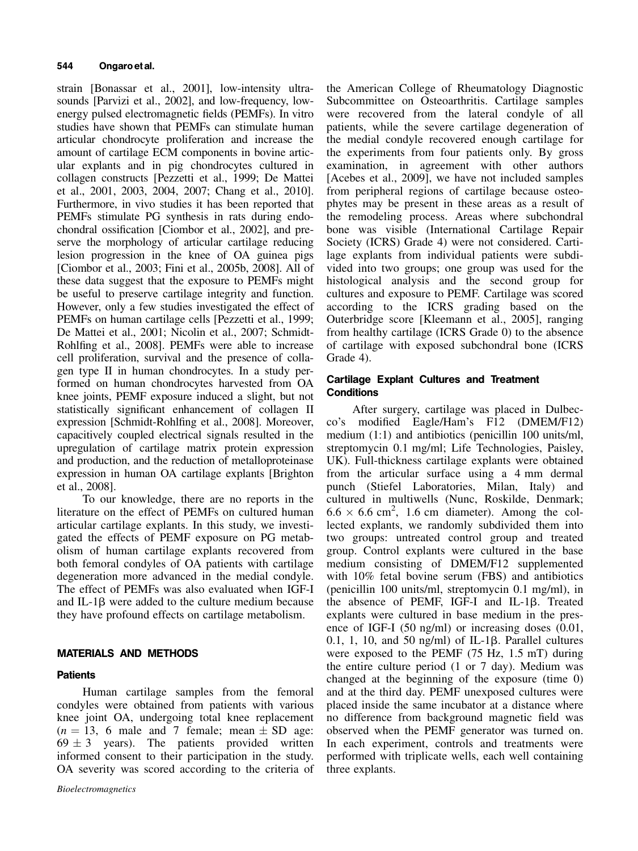strain [Bonassar et al., 2001], low-intensity ultrasounds [Parvizi et al., 2002], and low-frequency, lowenergy pulsed electromagnetic fields (PEMFs). In vitro studies have shown that PEMFs can stimulate human articular chondrocyte proliferation and increase the amount of cartilage ECM components in bovine articular explants and in pig chondrocytes cultured in collagen constructs [Pezzetti et al., 1999; De Mattei et al., 2001, 2003, 2004, 2007; Chang et al., 2010]. Furthermore, in vivo studies it has been reported that PEMFs stimulate PG synthesis in rats during endochondral ossification [Ciombor et al., 2002], and preserve the morphology of articular cartilage reducing lesion progression in the knee of OA guinea pigs [Ciombor et al., 2003; Fini et al., 2005b, 2008]. All of these data suggest that the exposure to PEMFs might be useful to preserve cartilage integrity and function. However, only a few studies investigated the effect of PEMFs on human cartilage cells [Pezzetti et al., 1999; De Mattei et al., 2001; Nicolin et al., 2007; Schmidt-Rohlfing et al., 2008]. PEMFs were able to increase cell proliferation, survival and the presence of collagen type II in human chondrocytes. In a study performed on human chondrocytes harvested from OA knee joints, PEMF exposure induced a slight, but not statistically significant enhancement of collagen II expression [Schmidt-Rohlfing et al., 2008]. Moreover, capacitively coupled electrical signals resulted in the upregulation of cartilage matrix protein expression and production, and the reduction of metalloproteinase expression in human OA cartilage explants [Brighton et al., 2008].

To our knowledge, there are no reports in the literature on the effect of PEMFs on cultured human articular cartilage explants. In this study, we investigated the effects of PEMF exposure on PG metabolism of human cartilage explants recovered from both femoral condyles of OA patients with cartilage degeneration more advanced in the medial condyle. The effect of PEMFs was also evaluated when IGF-I and IL-1 $\beta$  were added to the culture medium because they have profound effects on cartilage metabolism.

# MATERIALS AND METHODS

# **Patients**

Human cartilage samples from the femoral condyles were obtained from patients with various knee joint OA, undergoing total knee replacement  $(n = 13, 6$  male and 7 female; mean  $\pm$  SD age:  $69 \pm 3$  years). The patients provided written informed consent to their participation in the study. OA severity was scored according to the criteria of the American College of Rheumatology Diagnostic Subcommittee on Osteoarthritis. Cartilage samples were recovered from the lateral condyle of all patients, while the severe cartilage degeneration of the medial condyle recovered enough cartilage for the experiments from four patients only. By gross examination, in agreement with other authors [Acebes et al., 2009], we have not included samples from peripheral regions of cartilage because osteophytes may be present in these areas as a result of the remodeling process. Areas where subchondral bone was visible (International Cartilage Repair Society (ICRS) Grade 4) were not considered. Cartilage explants from individual patients were subdivided into two groups; one group was used for the histological analysis and the second group for cultures and exposure to PEMF. Cartilage was scored according to the ICRS grading based on the Outerbridge score [Kleemann et al., 2005], ranging from healthy cartilage (ICRS Grade 0) to the absence of cartilage with exposed subchondral bone (ICRS Grade 4).

## Cartilage Explant Cultures and Treatment **Conditions**

After surgery, cartilage was placed in Dulbecco's modified Eagle/Ham's F12 (DMEM/F12) medium (1:1) and antibiotics (penicillin 100 units/ml, streptomycin 0.1 mg/ml; Life Technologies, Paisley, UK). Full-thickness cartilage explants were obtained from the articular surface using a 4 mm dermal punch (Stiefel Laboratories, Milan, Italy) and cultured in multiwells (Nunc, Roskilde, Denmark;  $6.6 \times 6.6$  cm<sup>2</sup>, 1.6 cm diameter). Among the collected explants, we randomly subdivided them into two groups: untreated control group and treated group. Control explants were cultured in the base medium consisting of DMEM/F12 supplemented with 10% fetal bovine serum (FBS) and antibiotics (penicillin 100 units/ml, streptomycin 0.1 mg/ml), in the absence of PEMF, IGF-I and IL-1 $\beta$ . Treated explants were cultured in base medium in the presence of IGF-I (50 ng/ml) or increasing doses (0.01, 0.1, 1, 10, and 50 ng/ml) of IL-1 $\beta$ . Parallel cultures were exposed to the PEMF (75 Hz, 1.5 mT) during the entire culture period (1 or 7 day). Medium was changed at the beginning of the exposure (time 0) and at the third day. PEMF unexposed cultures were placed inside the same incubator at a distance where no difference from background magnetic field was observed when the PEMF generator was turned on. In each experiment, controls and treatments were performed with triplicate wells, each well containing three explants.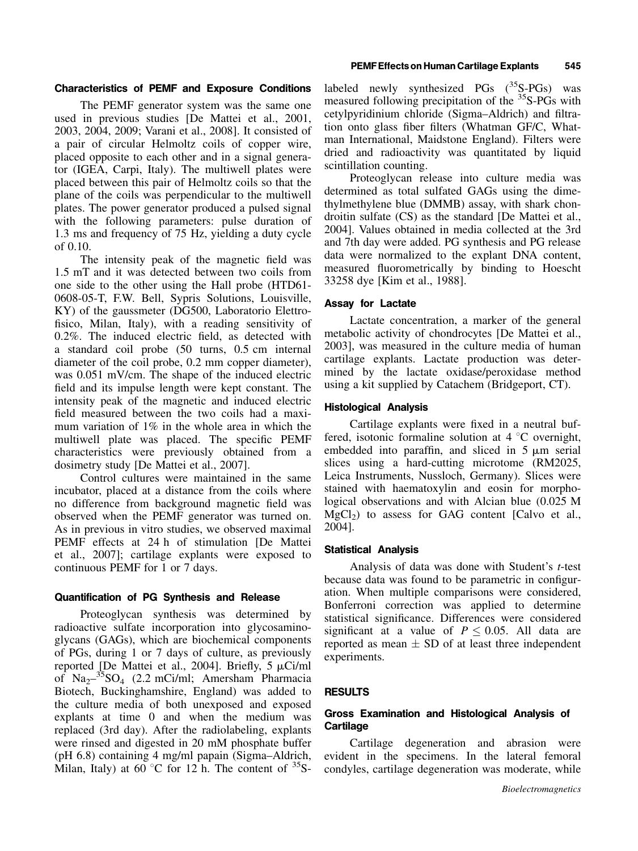## Characteristics of PEMF and Exposure Conditions

The PEMF generator system was the same one used in previous studies [De Mattei et al., 2001, 2003, 2004, 2009; Varani et al., 2008]. It consisted of a pair of circular Helmoltz coils of copper wire, placed opposite to each other and in a signal generator (IGEA, Carpi, Italy). The multiwell plates were placed between this pair of Helmoltz coils so that the plane of the coils was perpendicular to the multiwell plates. The power generator produced a pulsed signal with the following parameters: pulse duration of 1.3 ms and frequency of 75 Hz, yielding a duty cycle of 0.10.

The intensity peak of the magnetic field was 1.5 mT and it was detected between two coils from one side to the other using the Hall probe (HTD61- 0608-05-T, F.W. Bell, Sypris Solutions, Louisville, KY) of the gaussmeter (DG500, Laboratorio Elettrofisico, Milan, Italy), with a reading sensitivity of 0.2%. The induced electric field, as detected with a standard coil probe (50 turns, 0.5 cm internal diameter of the coil probe, 0.2 mm copper diameter), was 0.051 mV/cm. The shape of the induced electric field and its impulse length were kept constant. The intensity peak of the magnetic and induced electric field measured between the two coils had a maximum variation of 1% in the whole area in which the multiwell plate was placed. The specific PEMF characteristics were previously obtained from a dosimetry study [De Mattei et al., 2007].

Control cultures were maintained in the same incubator, placed at a distance from the coils where no difference from background magnetic field was observed when the PEMF generator was turned on. As in previous in vitro studies, we observed maximal PEMF effects at 24 h of stimulation [De Mattei et al., 2007]; cartilage explants were exposed to continuous PEMF for 1 or 7 days.

#### Quantification of PG Synthesis and Release

Proteoglycan synthesis was determined by radioactive sulfate incorporation into glycosaminoglycans (GAGs), which are biochemical components of PGs, during 1 or 7 days of culture, as previously reported [De Mattei et al., 2004]. Briefly,  $5 \mu$ Ci/ml of  $\text{Na}_{2}$ <sup>35</sup>SO<sub>4</sub> (2.2 mCi/ml; Amersham Pharmacia Biotech, Buckinghamshire, England) was added to the culture media of both unexposed and exposed explants at time 0 and when the medium was replaced (3rd day). After the radiolabeling, explants were rinsed and digested in 20 mM phosphate buffer (pH 6.8) containing 4 mg/ml papain (Sigma–Aldrich, Milan, Italy) at 60 °C for 12 h. The content of  ${}^{35}S$ -

labeled newly synthesized  $PGs$  ( $^{35}S-PGs$ ) was measured following precipitation of the <sup>35</sup>S-PGs with cetylpyridinium chloride (Sigma–Aldrich) and filtration onto glass fiber filters (Whatman GF/C, Whatman International, Maidstone England). Filters were dried and radioactivity was quantitated by liquid scintillation counting.

Proteoglycan release into culture media was determined as total sulfated GAGs using the dimethylmethylene blue (DMMB) assay, with shark chondroitin sulfate (CS) as the standard [De Mattei et al., 2004]. Values obtained in media collected at the 3rd and 7th day were added. PG synthesis and PG release data were normalized to the explant DNA content, measured fluorometrically by binding to Hoescht 33258 dye [Kim et al., 1988].

#### Assay for Lactate

Lactate concentration, a marker of the general metabolic activity of chondrocytes [De Mattei et al., 2003], was measured in the culture media of human cartilage explants. Lactate production was determined by the lactate oxidase/peroxidase method using a kit supplied by Catachem (Bridgeport, CT).

## Histological Analysis

Cartilage explants were fixed in a neutral buffered, isotonic formaline solution at  $4^{\circ}$ C overnight, embedded into paraffin, and sliced in  $5 \mu m$  serial slices using a hard-cutting microtome (RM2025, Leica Instruments, Nussloch, Germany). Slices were stained with haematoxylin and eosin for morphological observations and with Alcian blue (0.025 M  $MgCl<sub>2</sub>$ ) to assess for GAG content [Calvo et al., 2004].

#### Statistical Analysis

Analysis of data was done with Student's *t*-test because data was found to be parametric in configuration. When multiple comparisons were considered, Bonferroni correction was applied to determine statistical significance. Differences were considered significant at a value of  $P \leq 0.05$ . All data are reported as mean  $\pm$  SD of at least three independent experiments.

#### RESULTS

## Gross Examination and Histological Analysis of **Cartilage**

Cartilage degeneration and abrasion were evident in the specimens. In the lateral femoral condyles, cartilage degeneration was moderate, while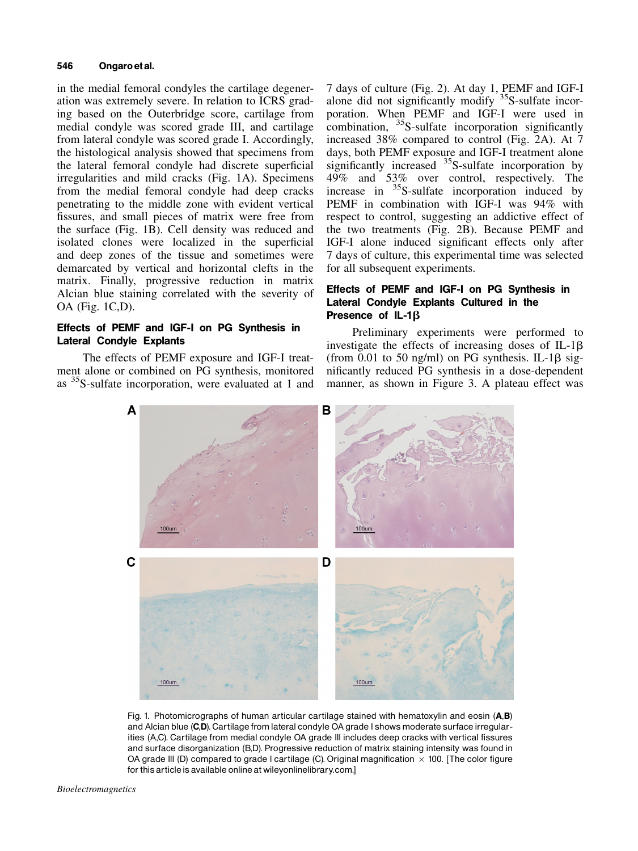#### 546 Ongaroet al.

in the medial femoral condyles the cartilage degeneration was extremely severe. In relation to ICRS grading based on the Outerbridge score, cartilage from medial condyle was scored grade III, and cartilage from lateral condyle was scored grade I. Accordingly, the histological analysis showed that specimens from the lateral femoral condyle had discrete superficial irregularities and mild cracks (Fig. 1A). Specimens from the medial femoral condyle had deep cracks penetrating to the middle zone with evident vertical fissures, and small pieces of matrix were free from the surface (Fig. 1B). Cell density was reduced and isolated clones were localized in the superficial and deep zones of the tissue and sometimes were demarcated by vertical and horizontal clefts in the matrix. Finally, progressive reduction in matrix Alcian blue staining correlated with the severity of OA (Fig. 1C,D).

# Effects of PEMF and IGF-I on PG Synthesis in Lateral Condyle Explants

The effects of PEMF exposure and IGF-I treatment alone or combined on PG synthesis, monitored as 35S-sulfate incorporation, were evaluated at 1 and 7 days of culture (Fig. 2). At day 1, PEMF and IGF-I alone did not significantly modify  $35$ S-sulfate incorporation. When PEMF and IGF-I were used in combination,  $35S$ -sulfate incorporation significantly increased 38% compared to control (Fig. 2A). At 7 days, both PEMF exposure and IGF-I treatment alone significantly increased  $35$ S-sulfate incorporation by 49% and 53% over control, respectively. The increase in  $35S$ -sulfate incorporation induced by PEMF in combination with IGF-I was 94% with respect to control, suggesting an addictive effect of the two treatments (Fig. 2B). Because PEMF and IGF-I alone induced significant effects only after 7 days of culture, this experimental time was selected for all subsequent experiments.

# Effects of PEMF and IGF-I on PG Synthesis in Lateral Condyle Explants Cultured in the Presence of IL-1 $\beta$

Preliminary experiments were performed to investigate the effects of increasing doses of  $IL-1\beta$ (from 0.01 to 50 ng/ml) on PG synthesis. IL-1 $\beta$  significantly reduced PG synthesis in a dose-dependent manner, as shown in Figure 3. A plateau effect was



Fig. 1. Photomicrographs of human articular cartilage stained with hematoxylin and eosin (A,B) and Alcian blue (C,D). Cartilage from lateral condyle OA grade I shows moderate surface irregularities (A,C). Cartilage from medial condyle OA grade III includes deep cracks with vertical fissures and surface disorganization (B,D). Progressive reduction of matrix staining intensity was found in OA grade III (D) compared to grade I cartilage (C). Original magnification  $\times$  100. [The color figure for this article is available online at wileyonlinelibrary.com.]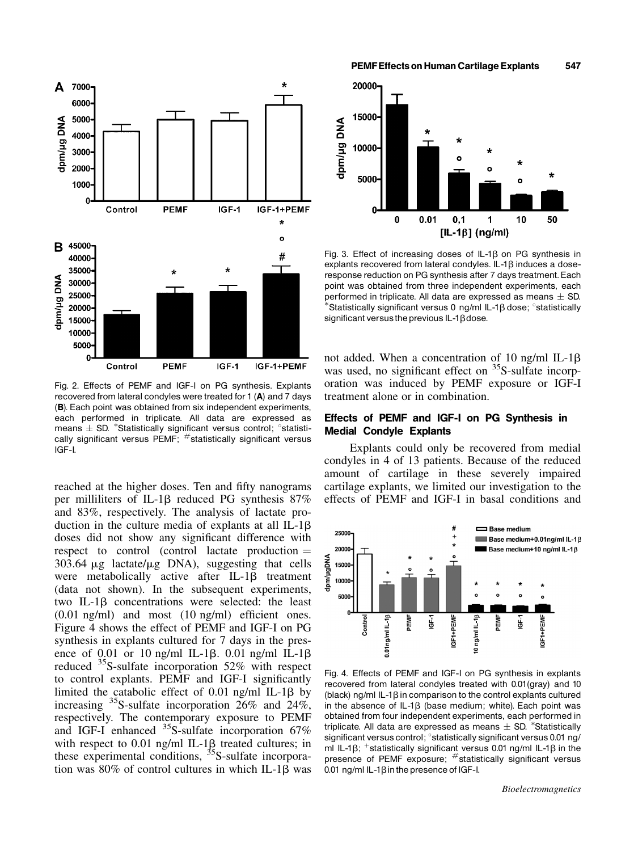

Fig. 2. Effects of PEMF and IGF-I on PG synthesis. Explants recovered from lateral condyles were treated for 1 (A) and 7 days (B). Each point was obtained from six independent experiments, each performed in triplicate. All data are expressed as means  $\pm$  SD. \*Statistically significant versus control;  $\degree$ statistically significant versus PEMF;  $#$  statistically significant versus IGF-I.

reached at the higher doses. Ten and fifty nanograms per milliliters of IL-1b reduced PG synthesis 87% and 83%, respectively. The analysis of lactate production in the culture media of explants at all IL-1 $\beta$ doses did not show any significant difference with respect to control (control lactate production  $=$  $303.64 \mu$ g lactate/ $\mu$ g DNA), suggesting that cells were metabolically active after  $IL-1\beta$  treatment (data not shown). In the subsequent experiments, two IL-1 $\beta$  concentrations were selected: the least (0.01 ng/ml) and most (10 ng/ml) efficient ones. Figure 4 shows the effect of PEMF and IGF-I on PG synthesis in explants cultured for 7 days in the presence of 0.01 or 10 ng/ml IL-1 $\beta$ . 0.01 ng/ml IL-1 $\beta$ reduced  $35$ S-sulfate incorporation 52% with respect to control explants. PEMF and IGF-I significantly limited the catabolic effect of 0.01 ng/ml IL-1 $\beta$  by increasing 35S-sulfate incorporation 26% and 24%, respectively. The contemporary exposure to PEMF and IGF-I enhanced  $^{35}$ S-sulfate incorporation 67% with respect to 0.01 ng/ml IL-1 $\beta$  treated cultures; in these experimental conditions, <sup>35</sup>S-sulfate incorporation was  $80\%$  of control cultures in which IL-1 $\beta$  was

PEMF Effects on Human Cartilage Explants 547



Fig. 3. Effect of increasing doses of  $IL-1\beta$  on PG synthesis in explants recovered from lateral condyles.  $IL-1\beta$  induces a doseresponse reduction on PG synthesis after 7 days treatment. Each point was obtained from three independent experiments, each performed in triplicate. All data are expressed as means  $\pm$  SD.<br>\*Statistically significant versus 0 ng/ml IL-1β dose; °statistically significant versus the previous  $IL-1\beta$ dose.

not added. When a concentration of 10 ng/ml IL-1 $\beta$ was used, no significant effect on  ${}^{35}S$ -sulfate incorporation was induced by PEMF exposure or IGF-I treatment alone or in combination.

## Effects of PEMF and IGF-I on PG Synthesis in Medial Condyle Explants

Explants could only be recovered from medial condyles in 4 of 13 patients. Because of the reduced amount of cartilage in these severely impaired cartilage explants, we limited our investigation to the effects of PEMF and IGF-I in basal conditions and



Fig. 4. Effects of PEMF and IGF-I on PG synthesis in explants recovered from lateral condyles treated with 0.01(gray) and 10 (black) ng/ml IL-1 $\beta$  in comparison to the control explants cultured in the absence of  $IL-1\beta$  (base medium; white). Each point was obtained from four independent experiments, each performed in triplicate. All data are expressed as means  $\pm$  SD. \*Statistically significant versus control; <sup>o</sup>statistically significant versus 0.01 ng/ ml IL-1 $\beta$ ; <sup>+</sup>statistically significant versus 0.01 ng/ml IL-1 $\beta$  in the presence of PEMF exposure; #statistically significant versus 0.01 ng/ml IL-1 $\beta$  in the presence of IGF-I.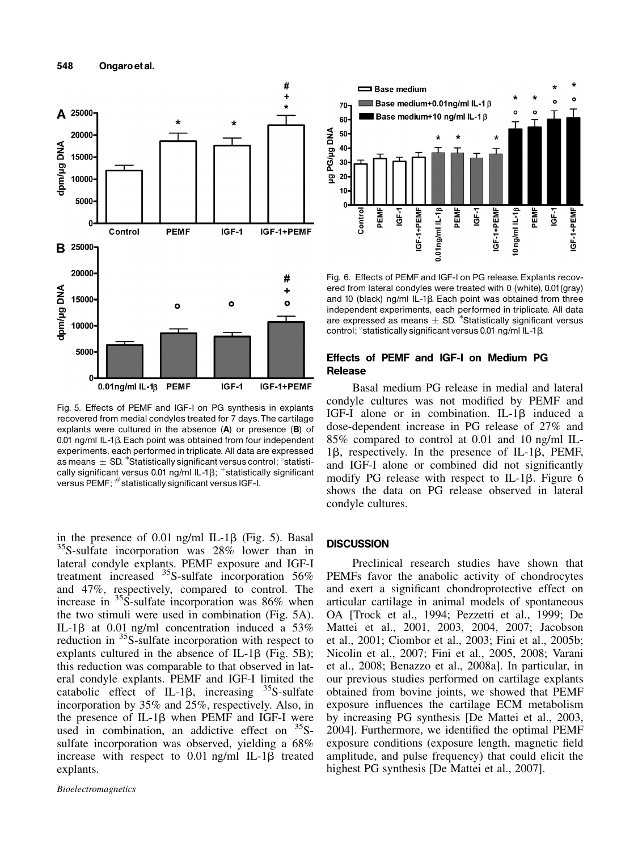

Fig. 5. Effects of PEMF and IGF-I on PG synthesis in explants recovered from medial condyles treated for 7 days.The cartilage explants were cultured in the absence (A) or presence (B) of 0.01 ng/ml IL-1 $\beta$ . Each point was obtained from four independent experiments, each performed in triplicate. All data are expressed as means  $\pm$  SD.  $^*$ Statistically significant versus control;  $^{\circ}$ statistically significant versus 0.01 ng/ml IL-1 $\beta$ ; +statistically significant versus PEMF; #statistically significant versus IGF-I.

in the presence of 0.01 ng/ml IL-1 $\beta$  (Fig. 5). Basal <sup>35</sup>S-sulfate incorporation was 28% lower than in lateral condyle explants. PEMF exposure and IGF-I treatment increased  $^{35}$ S-sulfate incorporation 56% and 47%, respectively, compared to control. The increase in  ${}^{35}S$ -sulfate incorporation was 86% when the two stimuli were used in combination (Fig. 5A). IL-1 $\beta$  at 0.01 ng/ml concentration induced a 53% reduction in 35S-sulfate incorporation with respect to explants cultured in the absence of IL-1 $\beta$  (Fig. 5B); this reduction was comparable to that observed in lateral condyle explants. PEMF and IGF-I limited the catabolic effect of IL-1 $\beta$ , increasing <sup>35</sup>S-sulfate incorporation by 35% and 25%, respectively. Also, in the presence of IL-1b when PEMF and IGF-I were used in combination, an addictive effect on  $35S$ sulfate incorporation was observed, yielding a 68% increase with respect to  $0.01$  ng/ml IL-1 $\beta$  treated explants.



Fig. 6. Effects of PEMF and IGF-I on PG release. Explants recovered from lateral condyles were treated with 0 (white), 0.01(gray) and 10 (black) ng/ml IL-1 $\beta$ . Each point was obtained from three independent experiments, each performed in triplicate. All data are expressed as means  $\pm$  SD. \*Statistically significant versus control;  $\textdegree$ statistically significant versus 0.01 ng/ml IL-1 $\beta$ .

## Effects of PEMF and IGF-I on Medium PG **Release**

Basal medium PG release in medial and lateral condyle cultures was not modified by PEMF and IGF-I alone or in combination. IL-1 $\beta$  induced a dose-dependent increase in PG release of 27% and 85% compared to control at 0.01 and 10 ng/ml IL- $1\beta$ , respectively. In the presence of IL-1 $\beta$ , PEMF, and IGF-I alone or combined did not significantly modify PG release with respect to IL-1 $\beta$ . Figure 6 shows the data on PG release observed in lateral condyle cultures.

## **DISCUSSION**

Preclinical research studies have shown that PEMFs favor the anabolic activity of chondrocytes and exert a significant chondroprotective effect on articular cartilage in animal models of spontaneous OA [Trock et al., 1994; Pezzetti et al., 1999; De Mattei et al., 2001, 2003, 2004, 2007; Jacobson et al., 2001; Ciombor et al., 2003; Fini et al., 2005b; Nicolin et al., 2007; Fini et al., 2005, 2008; Varani et al., 2008; Benazzo et al., 2008a]. In particular, in our previous studies performed on cartilage explants obtained from bovine joints, we showed that PEMF exposure influences the cartilage ECM metabolism by increasing PG synthesis [De Mattei et al., 2003, 2004]. Furthermore, we identified the optimal PEMF exposure conditions (exposure length, magnetic field amplitude, and pulse frequency) that could elicit the highest PG synthesis [De Mattei et al., 2007].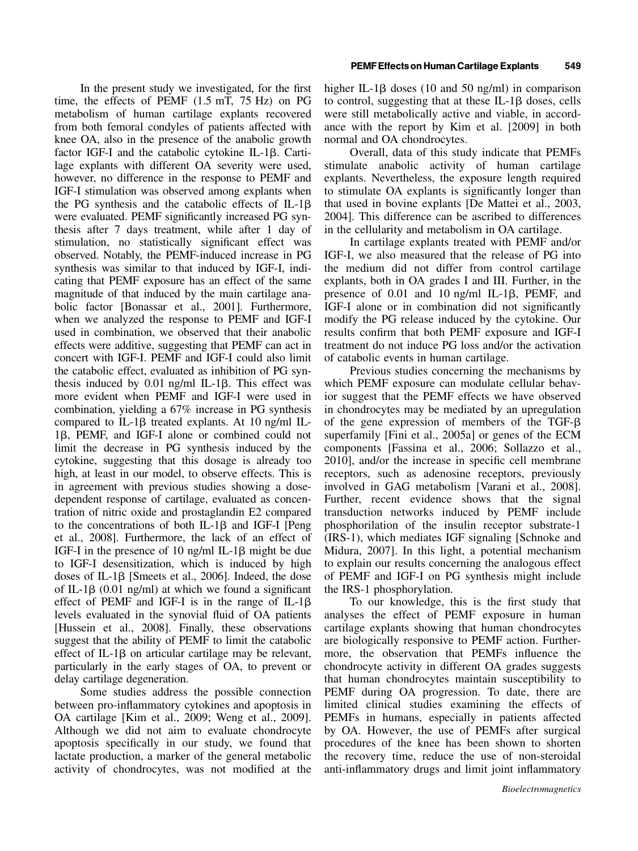In the present study we investigated, for the first time, the effects of PEMF (1.5 mT, 75 Hz) on PG metabolism of human cartilage explants recovered from both femoral condyles of patients affected with knee OA, also in the presence of the anabolic growth factor IGF-I and the catabolic cytokine IL-1 $\beta$ . Cartilage explants with different OA severity were used, however, no difference in the response to PEMF and IGF-I stimulation was observed among explants when the PG synthesis and the catabolic effects of  $IL-1\beta$ were evaluated. PEMF significantly increased PG synthesis after 7 days treatment, while after 1 day of stimulation, no statistically significant effect was observed. Notably, the PEMF-induced increase in PG synthesis was similar to that induced by IGF-I, indicating that PEMF exposure has an effect of the same magnitude of that induced by the main cartilage anabolic factor [Bonassar et al., 2001]. Furthermore, when we analyzed the response to PEMF and IGF-I used in combination, we observed that their anabolic effects were additive, suggesting that PEMF can act in concert with IGF-I. PEMF and IGF-I could also limit the catabolic effect, evaluated as inhibition of PG synthesis induced by  $0.01$  ng/ml IL-1 $\beta$ . This effect was more evident when PEMF and IGF-I were used in combination, yielding a 67% increase in PG synthesis compared to IL-1 $\beta$  treated explants. At 10 ng/ml IL-1b, PEMF, and IGF-I alone or combined could not limit the decrease in PG synthesis induced by the cytokine, suggesting that this dosage is already too high, at least in our model, to observe effects. This is in agreement with previous studies showing a dosedependent response of cartilage, evaluated as concentration of nitric oxide and prostaglandin E2 compared to the concentrations of both IL-1 $\beta$  and IGF-I [Peng et al., 2008]. Furthermore, the lack of an effect of IGF-I in the presence of 10 ng/ml IL-1 $\beta$  might be due to IGF-I desensitization, which is induced by high doses of IL-1 $\beta$  [Smeets et al., 2006]. Indeed, the dose of IL-1 $\beta$  (0.01 ng/ml) at which we found a significant effect of PEMF and IGF-I is in the range of IL-1 $\beta$ levels evaluated in the synovial fluid of OA patients [Hussein et al., 2008]. Finally, these observations suggest that the ability of PEMF to limit the catabolic effect of  $IL-1\beta$  on articular cartilage may be relevant, particularly in the early stages of OA, to prevent or delay cartilage degeneration.

Some studies address the possible connection between pro-inflammatory cytokines and apoptosis in OA cartilage [Kim et al., 2009; Weng et al., 2009]. Although we did not aim to evaluate chondrocyte apoptosis specifically in our study, we found that lactate production, a marker of the general metabolic activity of chondrocytes, was not modified at the

higher IL-1 $\beta$  doses (10 and 50 ng/ml) in comparison to control, suggesting that at these  $IL-1\beta$  doses, cells were still metabolically active and viable, in accordance with the report by Kim et al. [2009] in both normal and OA chondrocytes.

Overall, data of this study indicate that PEMFs stimulate anabolic activity of human cartilage explants. Nevertheless, the exposure length required to stimulate OA explants is significantly longer than that used in bovine explants [De Mattei et al., 2003, 2004]. This difference can be ascribed to differences in the cellularity and metabolism in OA cartilage.

In cartilage explants treated with PEMF and/or IGF-I, we also measured that the release of PG into the medium did not differ from control cartilage explants, both in OA grades I and III. Further, in the presence of  $0.01$  and  $10$  ng/ml IL-1 $\beta$ , PEMF, and IGF-I alone or in combination did not significantly modify the PG release induced by the cytokine. Our results confirm that both PEMF exposure and IGF-I treatment do not induce PG loss and/or the activation of catabolic events in human cartilage.

Previous studies concerning the mechanisms by which PEMF exposure can modulate cellular behavior suggest that the PEMF effects we have observed in chondrocytes may be mediated by an upregulation of the gene expression of members of the TGF- $\beta$ superfamily [Fini et al., 2005a] or genes of the ECM components [Fassina et al., 2006; Sollazzo et al., 2010], and/or the increase in specific cell membrane receptors, such as adenosine receptors, previously involved in GAG metabolism [Varani et al., 2008]. Further, recent evidence shows that the signal transduction networks induced by PEMF include phosphorilation of the insulin receptor substrate-1 (IRS-1), which mediates IGF signaling [Schnoke and Midura, 2007]. In this light, a potential mechanism to explain our results concerning the analogous effect of PEMF and IGF-I on PG synthesis might include the IRS-1 phosphorylation.

To our knowledge, this is the first study that analyses the effect of PEMF exposure in human cartilage explants showing that human chondrocytes are biologically responsive to PEMF action. Furthermore, the observation that PEMFs influence the chondrocyte activity in different OA grades suggests that human chondrocytes maintain susceptibility to PEMF during OA progression. To date, there are limited clinical studies examining the effects of PEMFs in humans, especially in patients affected by OA. However, the use of PEMFs after surgical procedures of the knee has been shown to shorten the recovery time, reduce the use of non-steroidal anti-inflammatory drugs and limit joint inflammatory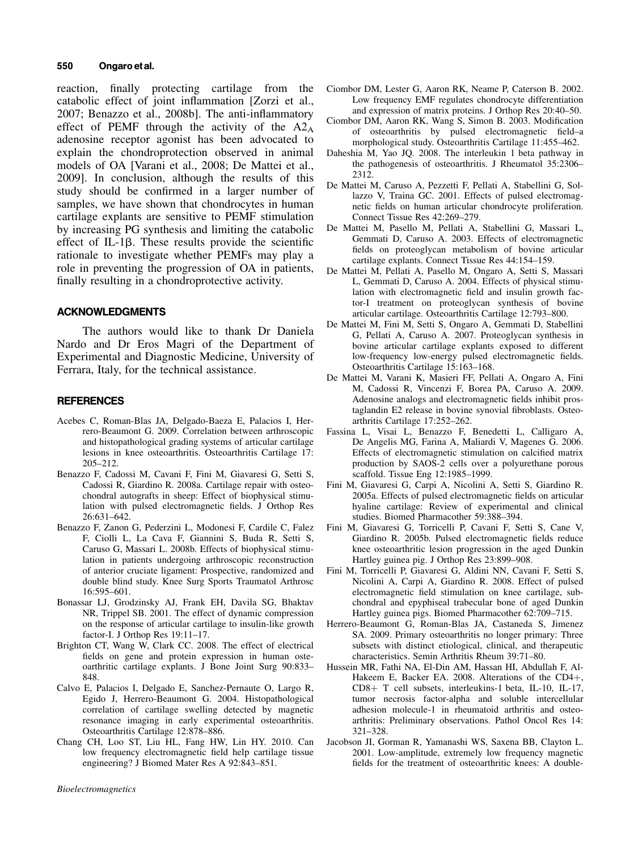#### 550 Ongaro et al.

reaction, finally protecting cartilage from the catabolic effect of joint inflammation [Zorzi et al., 2007; Benazzo et al., 2008b]. The anti-inflammatory effect of PEMF through the activity of the  $A2_A$ adenosine receptor agonist has been advocated to explain the chondroprotection observed in animal models of OA [Varani et al., 2008; De Mattei et al., 2009]. In conclusion, although the results of this study should be confirmed in a larger number of samples, we have shown that chondrocytes in human cartilage explants are sensitive to PEMF stimulation by increasing PG synthesis and limiting the catabolic effect of IL-1 $\beta$ . These results provide the scientific rationale to investigate whether PEMFs may play a role in preventing the progression of OA in patients, finally resulting in a chondroprotective activity.

#### ACKNOWLEDGMENTS

The authors would like to thank Dr Daniela Nardo and Dr Eros Magri of the Department of Experimental and Diagnostic Medicine, University of Ferrara, Italy, for the technical assistance.

#### **REFERENCES**

- Acebes C, Roman-Blas JA, Delgado-Baeza E, Palacios I, Herrero-Beaumont G. 2009. Correlation between arthroscopic and histopathological grading systems of articular cartilage lesions in knee osteoarthritis. Osteoarthritis Cartilage 17: 205–212.
- Benazzo F, Cadossi M, Cavani F, Fini M, Giavaresi G, Setti S, Cadossi R, Giardino R. 2008a. Cartilage repair with osteochondral autografts in sheep: Effect of biophysical stimulation with pulsed electromagnetic fields. J Orthop Res 26:631–642.
- Benazzo F, Zanon G, Pederzini L, Modonesi F, Cardile C, Falez F, Ciolli L, La Cava F, Giannini S, Buda R, Setti S, Caruso G, Massari L. 2008b. Effects of biophysical stimulation in patients undergoing arthroscopic reconstruction of anterior cruciate ligament: Prospective, randomized and double blind study. Knee Surg Sports Traumatol Arthrosc 16:595–601.
- Bonassar LJ, Grodzinsky AJ, Frank EH, Davila SG, Bhaktav NR, Trippel SB. 2001. The effect of dynamic compression on the response of articular cartilage to insulin-like growth factor-I. J Orthop Res 19:11–17.
- Brighton CT, Wang W, Clark CC. 2008. The effect of electrical fields on gene and protein expression in human osteoarthritic cartilage explants. J Bone Joint Surg 90:833– 848.
- Calvo E, Palacios I, Delgado E, Sanchez-Pernaute O, Largo R, Egido J, Herrero-Beaumont G. 2004. Histopathological correlation of cartilage swelling detected by magnetic resonance imaging in early experimental osteoarthritis. Osteoarthritis Cartilage 12:878–886.
- Chang CH, Loo ST, Liu HL, Fang HW, Lin HY. 2010. Can low frequency electromagnetic field help cartilage tissue engineering? J Biomed Mater Res A 92:843–851.
	-
- *<u>Bioelectromagnetics</u>*

Bioelectromagnetics

- Ciombor DM, Lester G, Aaron RK, Neame P, Caterson B. 2002. Low frequency EMF regulates chondrocyte differentiation and expression of matrix proteins. J Orthop Res 20:40–50.
- Ciombor DM, Aaron RK, Wang S, Simon B. 2003. Modification of osteoarthritis by pulsed electromagnetic field–a morphological study. Osteoarthritis Cartilage 11:455–462.
- Daheshia M, Yao JQ. 2008. The interleukin 1 beta pathway in the pathogenesis of osteoarthritis. J Rheumatol 35:2306– 2312.
- De Mattei M, Caruso A, Pezzetti F, Pellati A, Stabellini G, Sollazzo V, Traina GC. 2001. Effects of pulsed electromagnetic fields on human articular chondrocyte proliferation. Connect Tissue Res 42:269–279.
- De Mattei M, Pasello M, Pellati A, Stabellini G, Massari L, Gemmati D, Caruso A. 2003. Effects of electromagnetic fields on proteoglycan metabolism of bovine articular cartilage explants. Connect Tissue Res 44:154–159.
- De Mattei M, Pellati A, Pasello M, Ongaro A, Setti S, Massari L, Gemmati D, Caruso A. 2004. Effects of physical stimulation with electromagnetic field and insulin growth factor-I treatment on proteoglycan synthesis of bovine articular cartilage. Osteoarthritis Cartilage 12:793–800.
- De Mattei M, Fini M, Setti S, Ongaro A, Gemmati D, Stabellini G, Pellati A, Caruso A. 2007. Proteoglycan synthesis in bovine articular cartilage explants exposed to different low-frequency low-energy pulsed electromagnetic fields. Osteoarthritis Cartilage 15:163–168.
- De Mattei M, Varani K, Masieri FF, Pellati A, Ongaro A, Fini M, Cadossi R, Vincenzi F, Borea PA, Caruso A. 2009. Adenosine analogs and electromagnetic fields inhibit prostaglandin E2 release in bovine synovial fibroblasts. Osteoarthritis Cartilage 17:252–262.
- Fassina L, Visai L, Benazzo F, Benedetti L, Calligaro A, De Angelis MG, Farina A, Maliardi V, Magenes G. 2006. Effects of electromagnetic stimulation on calcified matrix production by SAOS-2 cells over a polyurethane porous scaffold. Tissue Eng 12:1985–1999.
- Fini M, Giavaresi G, Carpi A, Nicolini A, Setti S, Giardino R. 2005a. Effects of pulsed electromagnetic fields on articular hyaline cartilage: Review of experimental and clinical studies. Biomed Pharmacother 59:388–394.
- Fini M, Giavaresi G, Torricelli P, Cavani F, Setti S, Cane V, Giardino R. 2005b. Pulsed electromagnetic fields reduce knee osteoarthritic lesion progression in the aged Dunkin Hartley guinea pig. J Orthop Res 23:899–908.
- Fini M, Torricelli P, Giavaresi G, Aldini NN, Cavani F, Setti S, Nicolini A, Carpi A, Giardino R. 2008. Effect of pulsed electromagnetic field stimulation on knee cartilage, subchondral and epyphiseal trabecular bone of aged Dunkin Hartley guinea pigs. Biomed Pharmacother 62:709–715.
- Herrero-Beaumont G, Roman-Blas JA, Castaneda S, Jimenez SA. 2009. Primary osteoarthritis no longer primary: Three subsets with distinct etiological, clinical, and therapeutic characteristics. Semin Arthritis Rheum 39:71–80.
- Hussein MR, Fathi NA, El-Din AM, Hassan HI, Abdullah F, Al-Hakeem E, Backer EA. 2008. Alterations of the  $CD4+$ , CD8+ T cell subsets, interleukins-1 beta, IL-10, IL-17, tumor necrosis factor-alpha and soluble intercellular adhesion molecule-1 in rheumatoid arthritis and osteoarthritis: Preliminary observations. Pathol Oncol Res 14: 321–328.
- Jacobson JI, Gorman R, Yamanashi WS, Saxena BB, Clayton L. 2001. Low-amplitude, extremely low frequency magnetic fields for the treatment of osteoarthritic knees: A double-